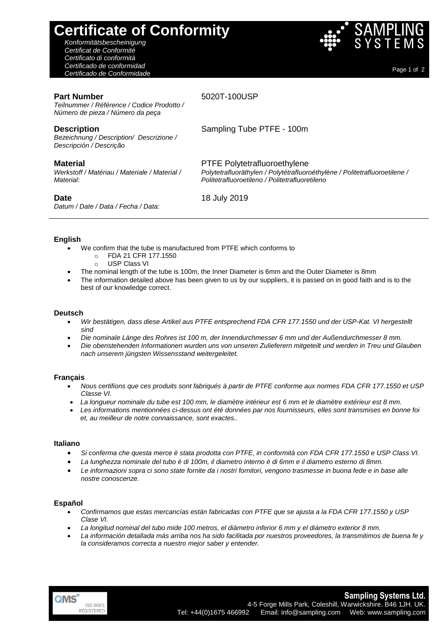# **Certificate of Conformity**

*Konformitätsbescheinigung Certificat de Conformité Certificato di conformità Certificado de conformidad Certificado de Conformidade* Page 1 of <sup>2</sup>

#### **Part Number**

5020T-100USP

*Teilnummer / Référence / Codice Prodotto / Número de pieza / Número da peça*

## **Description**

*Bezeichnung / Description/ Descrizione / Descripción / Descrição*

## **Material**

*Werkstoff / Matériau / Materiale / Material / Material:*

## **Date**

*Datum / Date / Data / Fecha / Data:*

Sampling Tube PTFE - 100m

PTFE Polytetrafluoroethylene *Polytetrafluoräthylen / Polytétrafluoroéthylène / Politetrafluoroetilene / Politetrafluoroetileno / Politetrafluoretileno*

18 July 2019

#### **English**

- We confirm that the tube is manufactured from PTFE which conforms to
	- o FDA 21 CFR 177.1550
	- o USP Class VI
- The nominal length of the tube is 100m, the Inner Diameter is 6mm and the Outer Diameter is 8mm
- The information detailed above has been given to us by our suppliers, it is passed on in good faith and is to the best of our knowledge correct.

## **Deutsch**

- *Wir bestätigen, dass diese Artikel aus PTFE entsprechend FDA CFR 177.1550 und der USP-Kat. VI hergestellt sind*
- *Die nominale Länge des Rohres ist 100 m, der Innendurchmesser 6 mm und der Außendurchmesser 8 mm.*
- *Die obenstehenden Informationen wurden uns von unseren Zulieferern mitgeteilt und werden in Treu und Glauben nach unserem jüngsten Wissensstand weitergeleitet.*

#### **Français**

- *Nous certifions que ces produits sont fabriqués à partir de PTFE conforme aux normes FDA CFR 177.1550 et USP Classe VI.*
- *La longueur nominale du tube est 100 mm, le diamètre intérieur est 6 mm et le diamètre extérieur est 8 mm.*
- *Les informations mentionnées ci-dessus ont été données par nos fournisseurs, elles sont transmises en bonne foi et, au meilleur de notre connaissance, sont exactes..*

#### **Italiano**

- *Si conferma che questa merce è stata prodotta con PTFE, in conformità con FDA CFR 177.1550 e USP Class VI.*
- *La lunghezza nominale del tubo è di 100m, il diametro interno è di 6mm e il diametro esterno di 8mm.*
- *Le informazioni sopra ci sono state fornite da i nostri fornitori, vengono trasmesse in buona fede e in base alle nostre conoscenze.*

#### **Español**

- *Confirmamos que estas mercancías están fabricadas con PTFE que se ajusta a la FDA CFR 177.1550 y USP Clase VI.*
- *La longitud nominal del tubo mide 100 metros, el diámetro inferior 6 mm y el diámetro exterior 8 mm.*
- *La información detallada más arriba nos ha sido facilitada por nuestros proveedores, la transmitimos de buena fe y la consideramos correcta a nuestro mejor saber y entender.*